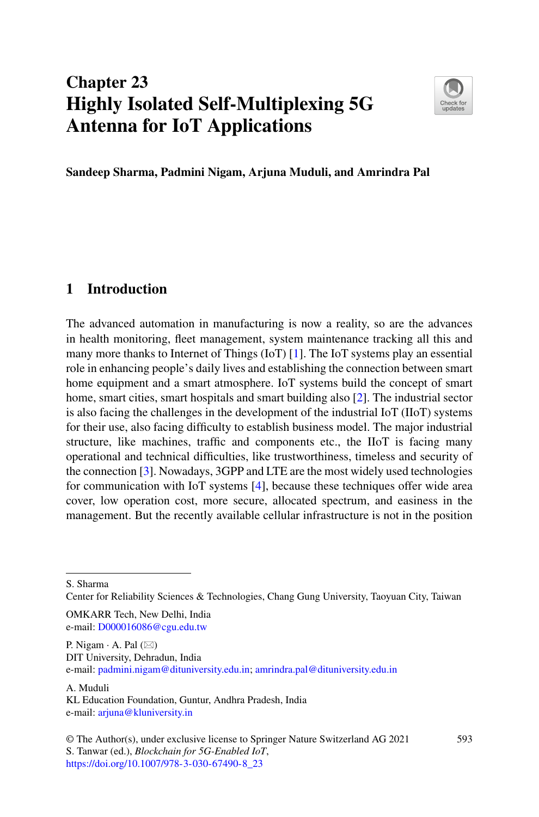# **Chapter 23 Highly Isolated Self-Multiplexing 5G Antenna for IoT Applications**



**Sandeep Sharma, Padmini Nigam, Arjuna Muduli, and Amrindra Pal**

# **1 Introduction**

The advanced automation in manufacturing is now a reality, so are the advances in health monitoring, fleet management, system maintenance tracking all this and many more thanks to Internet of Things (IoT) [\[1\]](#page-23-0). The IoT systems play an essential role in enhancing people's daily lives and establishing the connection between smart home equipment and a smart atmosphere. IoT systems build the concept of smart home, smart cities, smart hospitals and smart building also [\[2\]](#page-23-1). The industrial sector is also facing the challenges in the development of the industrial IoT (IIoT) systems for their use, also facing difficulty to establish business model. The major industrial structure, like machines, traffic and components etc., the IIoT is facing many operational and technical difficulties, like trustworthiness, timeless and security of the connection [\[3\]](#page-23-2). Nowadays, 3GPP and LTE are the most widely used technologies for communication with IoT systems [\[4\]](#page-23-3), because these techniques offer wide area cover, low operation cost, more secure, allocated spectrum, and easiness in the management. But the recently available cellular infrastructure is not in the position

S. Sharma

Center for Reliability Sciences & Technologies, Chang Gung University, Taoyuan City, Taiwan

OMKARR Tech, New Delhi, India e-mail: [D000016086@cgu.edu.tw](mailto:D000016086@cgu.edu.tw)

P. Nigam  $\cdot$  A. Pal  $(\boxtimes)$ DIT University, Dehradun, India e-mail: [padmini.nigam@dituniversity.edu.in;](mailto:padmini.nigam@dituniversity.edu.in) [amrindra.pal@dituniversity.edu.in](mailto:amrindra.pal@dituniversity.edu.in)

A. Muduli KL Education Foundation, Guntur, Andhra Pradesh, India e-mail: [arjuna@kluniversity.in](mailto:arjuna@kluniversity.in)

<sup>©</sup> The Author(s), under exclusive license to Springer Nature Switzerland AG 2021 S. Tanwar (ed.), *Blockchain for 5G-Enabled IoT*, [https://doi.org/10.1007/978-3-030-67490-8\\_23](https://doi.org/10.1007/978-3-030-67490-8_23)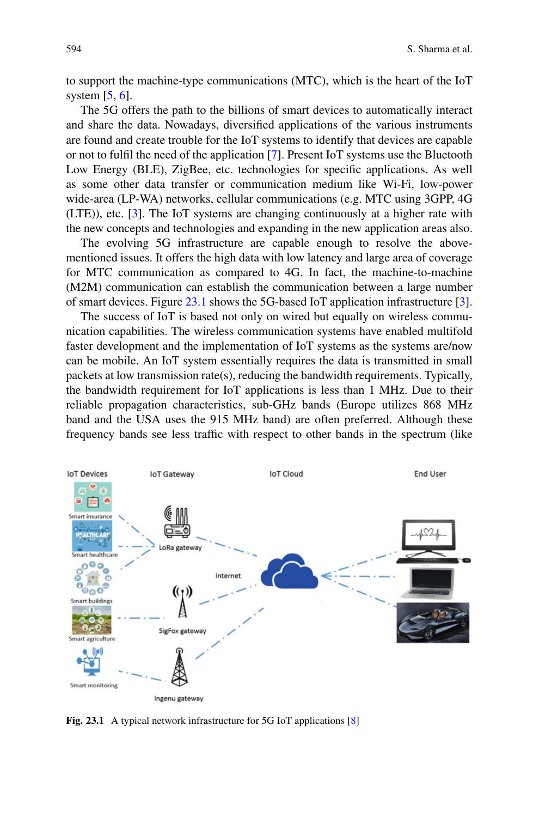to support the machine-type communications (MTC), which is the heart of the IoT system  $[5, 6]$  $[5, 6]$  $[5, 6]$ .

The 5G offers the path to the billions of smart devices to automatically interact and share the data. Nowadays, diversified applications of the various instruments are found and create trouble for the IoT systems to identify that devices are capable or not to fulfil the need of the application [\[7\]](#page-23-6). Present IoT systems use the Bluetooth Low Energy (BLE), ZigBee, etc. technologies for specific applications. As well as some other data transfer or communication medium like Wi-Fi, low-power wide-area (LP-WA) networks, cellular communications (e.g. MTC using 3GPP, 4G (LTE)), etc. [\[3\]](#page-23-2). The IoT systems are changing continuously at a higher rate with the new concepts and technologies and expanding in the new application areas also.

The evolving 5G infrastructure are capable enough to resolve the abovementioned issues. It offers the high data with low latency and large area of coverage for MTC communication as compared to 4G. In fact, the machine-to-machine (M2M) communication can establish the communication between a large number of smart devices. Figure [23.1](#page-1-0) shows the 5G-based IoT application infrastructure [\[3\]](#page-23-2).

The success of IoT is based not only on wired but equally on wireless communication capabilities. The wireless communication systems have enabled multifold faster development and the implementation of IoT systems as the systems are/now can be mobile. An IoT system essentially requires the data is transmitted in small packets at low transmission rate(s), reducing the bandwidth requirements. Typically, the bandwidth requirement for IoT applications is less than 1 MHz. Due to their reliable propagation characteristics, sub-GHz bands (Europe utilizes 868 MHz band and the USA uses the 915 MHz band) are often preferred. Although these frequency bands see less traffic with respect to other bands in the spectrum (like



<span id="page-1-0"></span>**Fig. 23.1** A typical network infrastructure for 5G IoT applications [\[8\]](#page-23-7)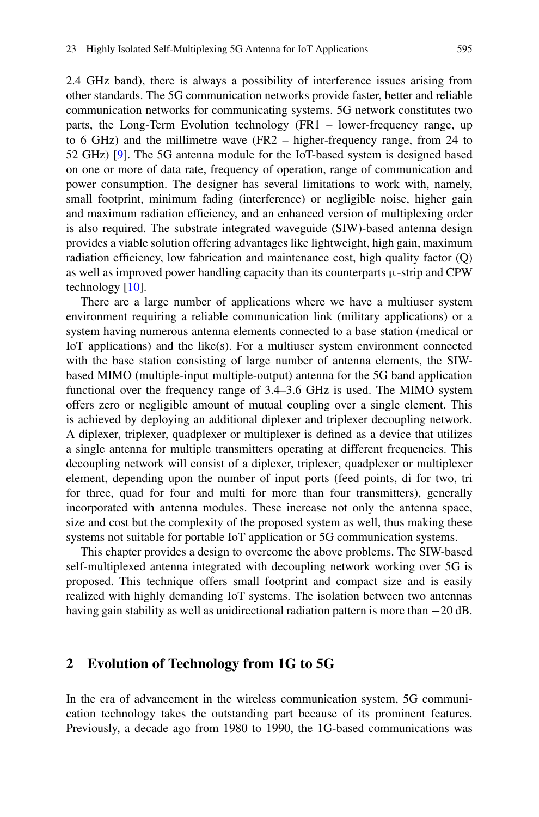2.4 GHz band), there is always a possibility of interference issues arising from other standards. The 5G communication networks provide faster, better and reliable communication networks for communicating systems. 5G network constitutes two parts, the Long-Term Evolution technology (FR1 – lower-frequency range, up to 6 GHz) and the millimetre wave (FR2 – higher-frequency range, from 24 to 52 GHz) [\[9\]](#page-23-8). The 5G antenna module for the IoT-based system is designed based on one or more of data rate, frequency of operation, range of communication and power consumption. The designer has several limitations to work with, namely, small footprint, minimum fading (interference) or negligible noise, higher gain and maximum radiation efficiency, and an enhanced version of multiplexing order is also required. The substrate integrated waveguide (SIW)-based antenna design provides a viable solution offering advantages like lightweight, high gain, maximum radiation efficiency, low fabrication and maintenance cost, high quality factor (Q) as well as improved power handling capacity than its counterparts μ-strip and CPW technology [\[10\]](#page-23-9).

There are a large number of applications where we have a multiuser system environment requiring a reliable communication link (military applications) or a system having numerous antenna elements connected to a base station (medical or IoT applications) and the like(s). For a multiuser system environment connected with the base station consisting of large number of antenna elements, the SIWbased MIMO (multiple-input multiple-output) antenna for the 5G band application functional over the frequency range of 3.4–3.6 GHz is used. The MIMO system offers zero or negligible amount of mutual coupling over a single element. This is achieved by deploying an additional diplexer and triplexer decoupling network. A diplexer, triplexer, quadplexer or multiplexer is defined as a device that utilizes a single antenna for multiple transmitters operating at different frequencies. This decoupling network will consist of a diplexer, triplexer, quadplexer or multiplexer element, depending upon the number of input ports (feed points, di for two, tri for three, quad for four and multi for more than four transmitters), generally incorporated with antenna modules. These increase not only the antenna space, size and cost but the complexity of the proposed system as well, thus making these systems not suitable for portable IoT application or 5G communication systems.

This chapter provides a design to overcome the above problems. The SIW-based self-multiplexed antenna integrated with decoupling network working over 5G is proposed. This technique offers small footprint and compact size and is easily realized with highly demanding IoT systems. The isolation between two antennas having gain stability as well as unidirectional radiation pattern is more than −20 dB.

#### **2 Evolution of Technology from 1G to 5G**

In the era of advancement in the wireless communication system, 5G communication technology takes the outstanding part because of its prominent features. Previously, a decade ago from 1980 to 1990, the 1G-based communications was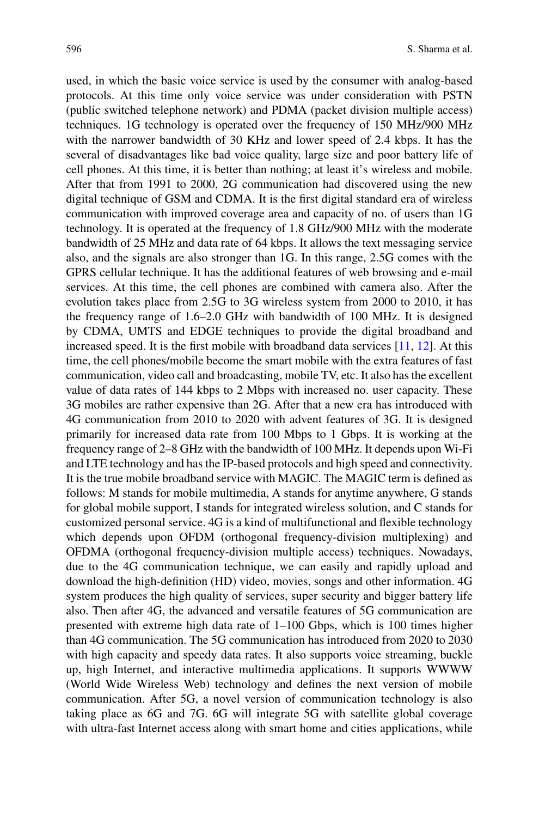used, in which the basic voice service is used by the consumer with analog-based protocols. At this time only voice service was under consideration with PSTN (public switched telephone network) and PDMA (packet division multiple access) techniques. 1G technology is operated over the frequency of 150 MHz/900 MHz with the narrower bandwidth of 30 KHz and lower speed of 2.4 kbps. It has the several of disadvantages like bad voice quality, large size and poor battery life of cell phones. At this time, it is better than nothing; at least it's wireless and mobile. After that from 1991 to 2000, 2G communication had discovered using the new digital technique of GSM and CDMA. It is the first digital standard era of wireless communication with improved coverage area and capacity of no. of users than 1G technology. It is operated at the frequency of 1.8 GHz/900 MHz with the moderate bandwidth of 25 MHz and data rate of 64 kbps. It allows the text messaging service also, and the signals are also stronger than 1G. In this range, 2.5G comes with the GPRS cellular technique. It has the additional features of web browsing and e-mail services. At this time, the cell phones are combined with camera also. After the evolution takes place from 2.5G to 3G wireless system from 2000 to 2010, it has the frequency range of 1.6–2.0 GHz with bandwidth of 100 MHz. It is designed by CDMA, UMTS and EDGE techniques to provide the digital broadband and increased speed. It is the first mobile with broadband data services [\[11,](#page-24-0) [12\]](#page-24-1). At this time, the cell phones/mobile become the smart mobile with the extra features of fast communication, video call and broadcasting, mobile TV, etc. It also has the excellent value of data rates of 144 kbps to 2 Mbps with increased no. user capacity. These 3G mobiles are rather expensive than 2G. After that a new era has introduced with 4G communication from 2010 to 2020 with advent features of 3G. It is designed primarily for increased data rate from 100 Mbps to 1 Gbps. It is working at the frequency range of 2–8 GHz with the bandwidth of 100 MHz. It depends upon Wi-Fi and LTE technology and has the IP-based protocols and high speed and connectivity. It is the true mobile broadband service with MAGIC. The MAGIC term is defined as follows: M stands for mobile multimedia, A stands for anytime anywhere, G stands for global mobile support, I stands for integrated wireless solution, and C stands for customized personal service. 4G is a kind of multifunctional and flexible technology which depends upon OFDM (orthogonal frequency-division multiplexing) and OFDMA (orthogonal frequency-division multiple access) techniques. Nowadays, due to the 4G communication technique, we can easily and rapidly upload and download the high-definition (HD) video, movies, songs and other information. 4G system produces the high quality of services, super security and bigger battery life also. Then after 4G, the advanced and versatile features of 5G communication are presented with extreme high data rate of 1–100 Gbps, which is 100 times higher than 4G communication. The 5G communication has introduced from 2020 to 2030 with high capacity and speedy data rates. It also supports voice streaming, buckle up, high Internet, and interactive multimedia applications. It supports WWWW (World Wide Wireless Web) technology and defines the next version of mobile communication. After 5G, a novel version of communication technology is also taking place as 6G and 7G. 6G will integrate 5G with satellite global coverage with ultra-fast Internet access along with smart home and cities applications, while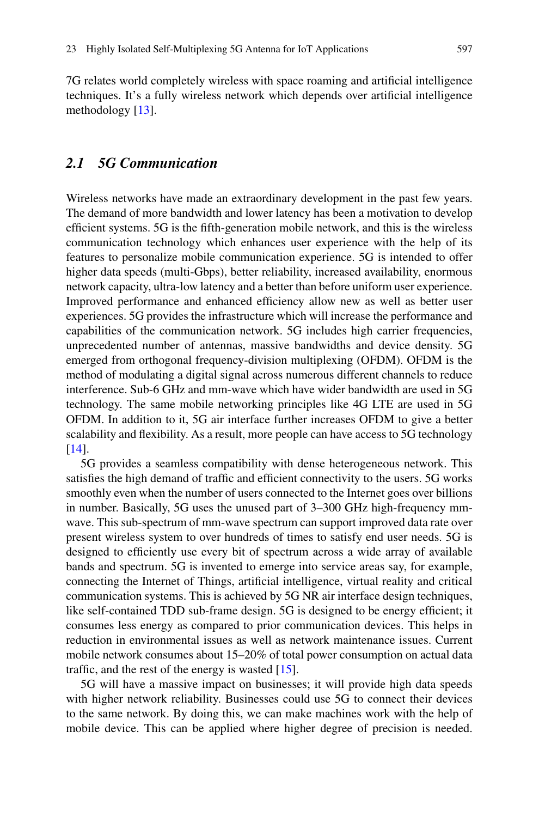7G relates world completely wireless with space roaming and artificial intelligence techniques. It's a fully wireless network which depends over artificial intelligence methodology [\[13\]](#page-24-2).

### *2.1 5G Communication*

Wireless networks have made an extraordinary development in the past few years. The demand of more bandwidth and lower latency has been a motivation to develop efficient systems. 5G is the fifth-generation mobile network, and this is the wireless communication technology which enhances user experience with the help of its features to personalize mobile communication experience. 5G is intended to offer higher data speeds (multi-Gbps), better reliability, increased availability, enormous network capacity, ultra-low latency and a better than before uniform user experience. Improved performance and enhanced efficiency allow new as well as better user experiences. 5G provides the infrastructure which will increase the performance and capabilities of the communication network. 5G includes high carrier frequencies, unprecedented number of antennas, massive bandwidths and device density. 5G emerged from orthogonal frequency-division multiplexing (OFDM). OFDM is the method of modulating a digital signal across numerous different channels to reduce interference. Sub-6 GHz and mm-wave which have wider bandwidth are used in 5G technology. The same mobile networking principles like 4G LTE are used in 5G OFDM. In addition to it, 5G air interface further increases OFDM to give a better scalability and flexibility. As a result, more people can have access to 5G technology [\[14\]](#page-24-3).

5G provides a seamless compatibility with dense heterogeneous network. This satisfies the high demand of traffic and efficient connectivity to the users. 5G works smoothly even when the number of users connected to the Internet goes over billions in number. Basically, 5G uses the unused part of 3–300 GHz high-frequency mmwave. This sub-spectrum of mm-wave spectrum can support improved data rate over present wireless system to over hundreds of times to satisfy end user needs. 5G is designed to efficiently use every bit of spectrum across a wide array of available bands and spectrum. 5G is invented to emerge into service areas say, for example, connecting the Internet of Things, artificial intelligence, virtual reality and critical communication systems. This is achieved by 5G NR air interface design techniques, like self-contained TDD sub-frame design. 5G is designed to be energy efficient; it consumes less energy as compared to prior communication devices. This helps in reduction in environmental issues as well as network maintenance issues. Current mobile network consumes about 15–20% of total power consumption on actual data traffic, and the rest of the energy is wasted  $[15]$ .

5G will have a massive impact on businesses; it will provide high data speeds with higher network reliability. Businesses could use 5G to connect their devices to the same network. By doing this, we can make machines work with the help of mobile device. This can be applied where higher degree of precision is needed.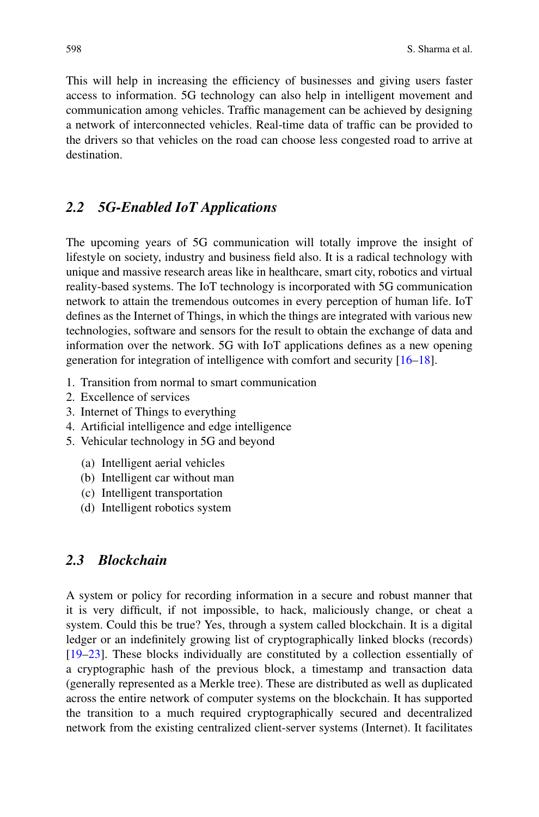This will help in increasing the efficiency of businesses and giving users faster access to information. 5G technology can also help in intelligent movement and communication among vehicles. Traffic management can be achieved by designing a network of interconnected vehicles. Real-time data of traffic can be provided to the drivers so that vehicles on the road can choose less congested road to arrive at destination.

# *2.2 5G-Enabled IoT Applications*

The upcoming years of 5G communication will totally improve the insight of lifestyle on society, industry and business field also. It is a radical technology with unique and massive research areas like in healthcare, smart city, robotics and virtual reality-based systems. The IoT technology is incorporated with 5G communication network to attain the tremendous outcomes in every perception of human life. IoT defines as the Internet of Things, in which the things are integrated with various new technologies, software and sensors for the result to obtain the exchange of data and information over the network. 5G with IoT applications defines as a new opening generation for integration of intelligence with comfort and security [\[16](#page-24-5)[–18\]](#page-24-6).

- 1. Transition from normal to smart communication
- 2. Excellence of services
- 3. Internet of Things to everything
- 4. Artificial intelligence and edge intelligence
- 5. Vehicular technology in 5G and beyond
	- (a) Intelligent aerial vehicles
	- (b) Intelligent car without man
	- (c) Intelligent transportation
	- (d) Intelligent robotics system

### *2.3 Blockchain*

A system or policy for recording information in a secure and robust manner that it is very difficult, if not impossible, to hack, maliciously change, or cheat a system. Could this be true? Yes, through a system called blockchain. It is a digital ledger or an indefinitely growing list of cryptographically linked blocks (records) [\[19](#page-24-7)[–23\]](#page-24-8). These blocks individually are constituted by a collection essentially of a cryptographic hash of the previous block, a timestamp and transaction data (generally represented as a Merkle tree). These are distributed as well as duplicated across the entire network of computer systems on the blockchain. It has supported the transition to a much required cryptographically secured and decentralized network from the existing centralized client-server systems (Internet). It facilitates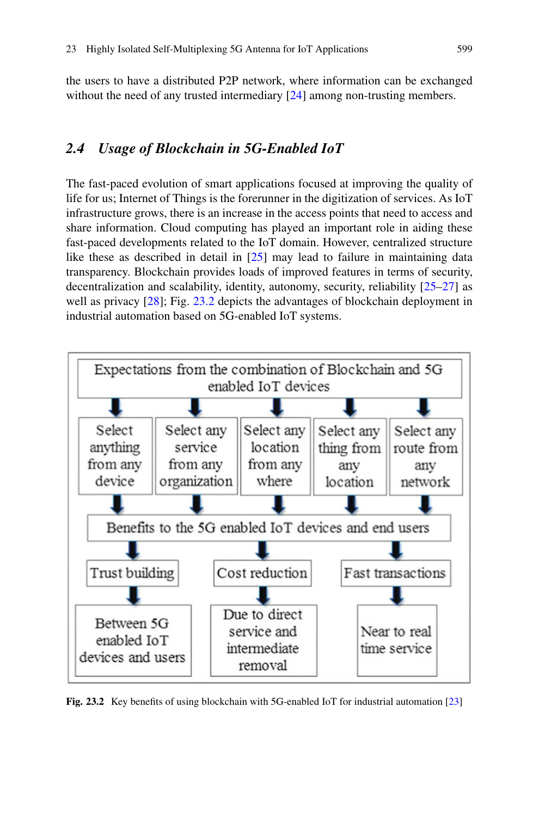the users to have a distributed P2P network, where information can be exchanged without the need of any trusted intermediary [\[24\]](#page-24-9) among non-trusting members.

### *2.4 Usage of Blockchain in 5G-Enabled IoT*

The fast-paced evolution of smart applications focused at improving the quality of life for us; Internet of Things is the forerunner in the digitization of services. As IoT infrastructure grows, there is an increase in the access points that need to access and share information. Cloud computing has played an important role in aiding these fast-paced developments related to the IoT domain. However, centralized structure like these as described in detail in  $[25]$  may lead to failure in maintaining data transparency. Blockchain provides loads of improved features in terms of security, decentralization and scalability, identity, autonomy, security, reliability [\[25–](#page-24-10)[27\]](#page-24-11) as well as privacy [\[28\]](#page-24-12); Fig. [23.2](#page-6-0) depicts the advantages of blockchain deployment in industrial automation based on 5G-enabled IoT systems.



<span id="page-6-0"></span>**Fig. 23.2** Key benefits of using blockchain with 5G-enabled IoT for industrial automation [\[23\]](#page-24-8)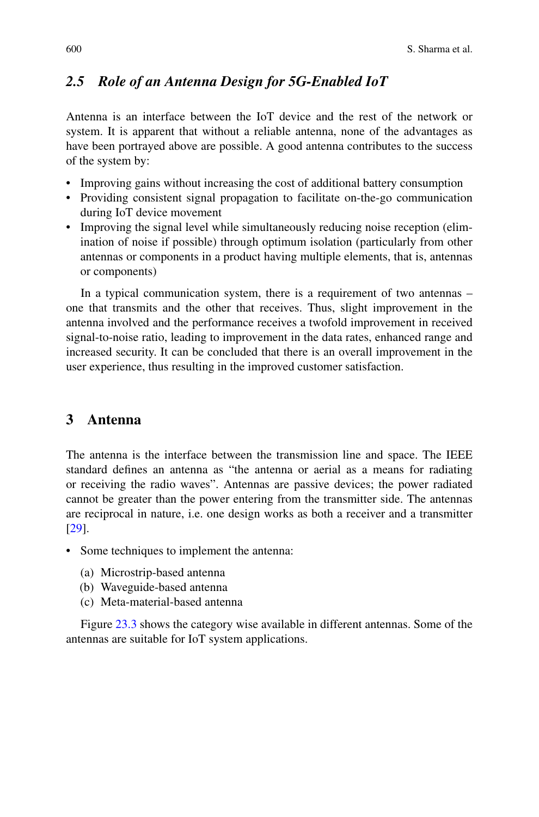### *2.5 Role of an Antenna Design for 5G-Enabled IoT*

Antenna is an interface between the IoT device and the rest of the network or system. It is apparent that without a reliable antenna, none of the advantages as have been portrayed above are possible. A good antenna contributes to the success of the system by:

- Improving gains without increasing the cost of additional battery consumption
- Providing consistent signal propagation to facilitate on-the-go communication during IoT device movement
- Improving the signal level while simultaneously reducing noise reception (elimination of noise if possible) through optimum isolation (particularly from other antennas or components in a product having multiple elements, that is, antennas or components)

In a typical communication system, there is a requirement of two antennas – one that transmits and the other that receives. Thus, slight improvement in the antenna involved and the performance receives a twofold improvement in received signal-to-noise ratio, leading to improvement in the data rates, enhanced range and increased security. It can be concluded that there is an overall improvement in the user experience, thus resulting in the improved customer satisfaction.

#### **3 Antenna**

The antenna is the interface between the transmission line and space. The IEEE standard defines an antenna as "the antenna or aerial as a means for radiating or receiving the radio waves". Antennas are passive devices; the power radiated cannot be greater than the power entering from the transmitter side. The antennas are reciprocal in nature, i.e. one design works as both a receiver and a transmitter [\[29\]](#page-24-13).

- Some techniques to implement the antenna:
	- (a) Microstrip-based antenna
	- (b) Waveguide-based antenna
	- (c) Meta-material-based antenna

Figure [23.3](#page-8-0) shows the category wise available in different antennas. Some of the antennas are suitable for IoT system applications.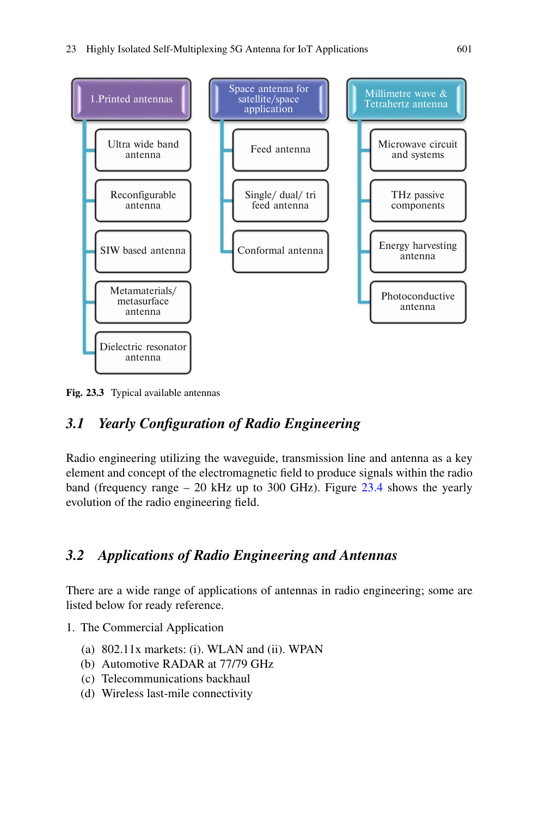

<span id="page-8-0"></span>**Fig. 23.3** Typical available antennas

# *3.1 Yearly Configuration of Radio Engineering*

Radio engineering utilizing the waveguide, transmission line and antenna as a key element and concept of the electromagnetic field to produce signals within the radio band (frequency range – 20 kHz up to 300 GHz). Figure [23.4](#page-9-0) shows the yearly evolution of the radio engineering field.

# *3.2 Applications of Radio Engineering and Antennas*

There are a wide range of applications of antennas in radio engineering; some are listed below for ready reference.

- 1. The Commercial Application
	- (a) 802.11x markets: (i). WLAN and (ii). WPAN
	- (b) Automotive RADAR at 77/79 GHz
	- (c) Telecommunications backhaul
	- (d) Wireless last-mile connectivity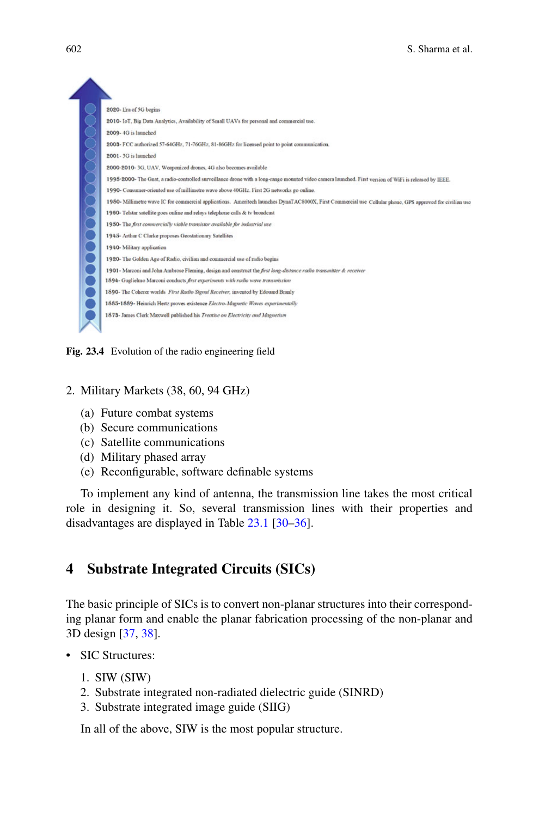

Fig. 23.4 Evolution of the radio engineering field

- <span id="page-9-0"></span>2. Military Markets (38, 60, 94 GHz)
	- (a) Future combat systems
	- (b) Secure communications
	- (c) Satellite communications
	- (d) Military phased array
	- (e) Reconfigurable, software definable systems

To implement any kind of antenna, the transmission line takes the most critical role in designing it. So, several transmission lines with their properties and disadvantages are displayed in Table [23.1](#page-10-0) [\[30](#page-24-14)[–36\]](#page-25-0).

# **4 Substrate Integrated Circuits (SICs)**

The basic principle of SICs is to convert non-planar structures into their corresponding planar form and enable the planar fabrication processing of the non-planar and 3D design [\[37,](#page-25-1) [38\]](#page-25-2).

- SIC Structures:
	- 1. SIW (SIW)
	- 2. Substrate integrated non-radiated dielectric guide (SINRD)
	- 3. Substrate integrated image guide (SIIG)

In all of the above, SIW is the most popular structure.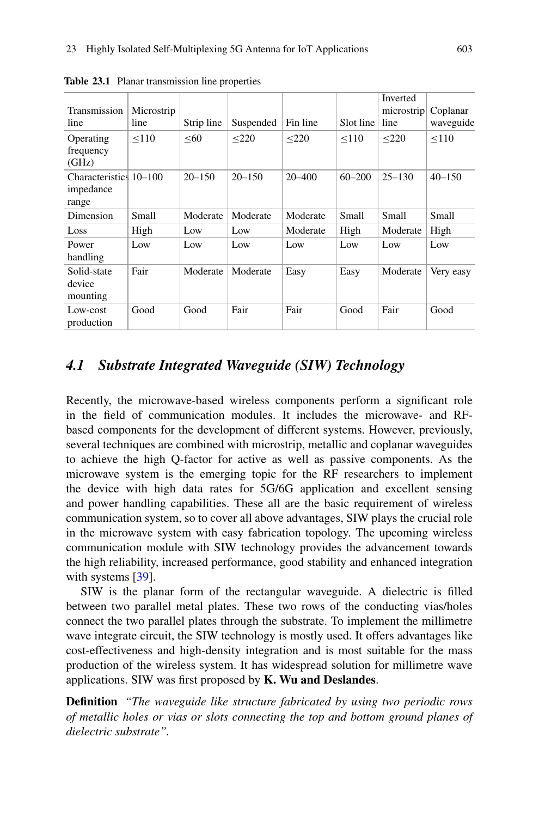| Transmission<br>line                         | Microstrip<br>line | Strip line | Suspended  | Fin line   | Slot line  | Inverted<br>microstrip<br>line | Coplanar<br>waveguide |
|----------------------------------------------|--------------------|------------|------------|------------|------------|--------------------------------|-----------------------|
| Operating<br>frequency<br>(GHz)              | < 110              | < 60       | < 220      | < 220      | < 110      | < 220                          | < 110                 |
| Characteristics 10–100<br>impedance<br>range |                    | $20 - 150$ | $20 - 150$ | $20 - 400$ | $60 - 200$ | $25 - 130$                     | $40 - 150$            |
| Dimension                                    | Small              | Moderate   | Moderate   | Moderate   | Small      | Small                          | Small                 |
| Loss                                         | High               | Low        | Low        | Moderate   | High       | Moderate                       | High                  |
| Power<br>handling                            | Low                | Low        | Low        | Low        | Low        | Low                            | Low                   |
| Solid-state<br>device<br>mounting            | Fair               | Moderate   | Moderate   | Easy       | Easy       | Moderate                       | Very easy             |
| Low-cost<br>production                       | Good               | Good       | Fair       | Fair       | Good       | Fair                           | Good                  |

<span id="page-10-0"></span>**Table 23.1** Planar transmission line properties

#### *4.1 Substrate Integrated Waveguide (SIW) Technology*

Recently, the microwave-based wireless components perform a significant role in the field of communication modules. It includes the microwave- and RFbased components for the development of different systems. However, previously, several techniques are combined with microstrip, metallic and coplanar waveguides to achieve the high Q-factor for active as well as passive components. As the microwave system is the emerging topic for the RF researchers to implement the device with high data rates for 5G/6G application and excellent sensing and power handling capabilities. These all are the basic requirement of wireless communication system, so to cover all above advantages, SIW plays the crucial role in the microwave system with easy fabrication topology. The upcoming wireless communication module with SIW technology provides the advancement towards the high reliability, increased performance, good stability and enhanced integration with systems [\[39\]](#page-25-3).

SIW is the planar form of the rectangular waveguide. A dielectric is filled between two parallel metal plates. These two rows of the conducting vias/holes connect the two parallel plates through the substrate. To implement the millimetre wave integrate circuit, the SIW technology is mostly used. It offers advantages like cost-effectiveness and high-density integration and is most suitable for the mass production of the wireless system. It has widespread solution for millimetre wave applications. SIW was first proposed by **K. Wu and Deslandes**.

**Definition** *"The waveguide like structure fabricated by using two periodic rows of metallic holes or vias or slots connecting the top and bottom ground planes of dielectric substrate".*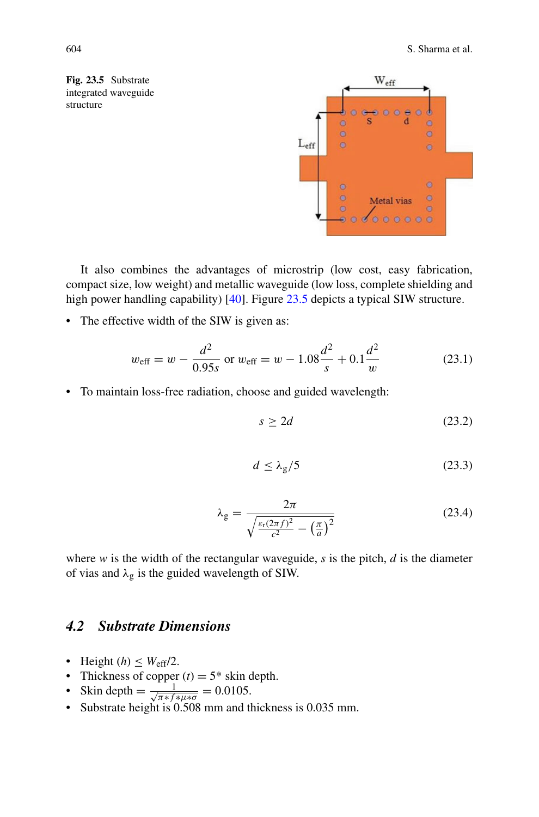<span id="page-11-0"></span>**Fig. 23.5** Substrate integrated waveguide structure



It also combines the advantages of microstrip (low cost, easy fabrication, compact size, low weight) and metallic waveguide (low loss, complete shielding and high power handling capability) [\[40\]](#page-25-4). Figure [23.5](#page-11-0) depicts a typical SIW structure.

• The effective width of the SIW is given as:

$$
w_{\text{eff}} = w - \frac{d^2}{0.95s} \text{ or } w_{\text{eff}} = w - 1.08 \frac{d^2}{s} + 0.1 \frac{d^2}{w}
$$
 (23.1)

• To maintain loss-free radiation, choose and guided wavelength:

$$
s \ge 2d \tag{23.2}
$$

$$
d \le \lambda_{\rm g} / 5 \tag{23.3}
$$

$$
\lambda_{\rm g} = \frac{2\pi}{\sqrt{\frac{\varepsilon_{\rm r}(2\pi f)^2}{c^2} - \left(\frac{\pi}{a}\right)^2}}\tag{23.4}
$$

where *w* is the width of the rectangular waveguide, *s* is the pitch, *d* is the diameter of vias and  $\lambda_g$  is the guided wavelength of SIW.

# *4.2 Substrate Dimensions*

- Height  $(h) \leq W_{\text{eff}}/2$ .
- Thickness of copper  $(t) = 5^*$  skin depth.
- Skin depth  $= \frac{1}{\sqrt{\pi * f * \mu * \sigma}} = 0.0105.$
- Substrate height is 0.508 mm and thickness is 0.035 mm.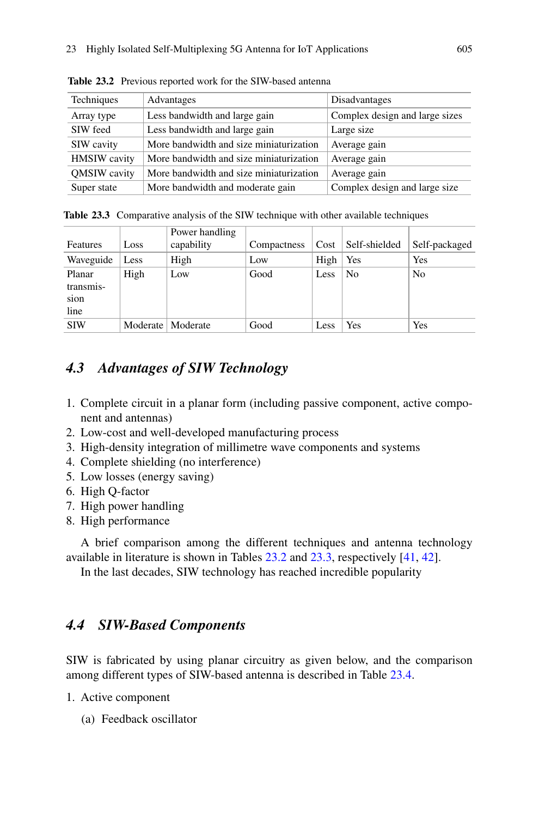| Techniques          | Advantages                              | Disadvantages                  |
|---------------------|-----------------------------------------|--------------------------------|
| Array type          | Less bandwidth and large gain           | Complex design and large sizes |
| SIW feed            | Less bandwidth and large gain           | Large size                     |
| SIW cavity          | More bandwidth and size miniaturization | Average gain                   |
| <b>HMSIW</b> cavity | More bandwidth and size miniaturization | Average gain                   |
| QMSIW cavity        | More bandwidth and size miniaturization | Average gain                   |
| Super state         | More bandwidth and moderate gain        | Complex design and large size  |

<span id="page-12-0"></span>**Table 23.2** Previous reported work for the SIW-based antenna

<span id="page-12-1"></span>**Table 23.3** Comparative analysis of the SIW technique with other available techniques

|                                     |          | Power handling |             |      |               |                |
|-------------------------------------|----------|----------------|-------------|------|---------------|----------------|
| Features                            | Loss     | capability     | Compactness | Cost | Self-shielded | Self-packaged  |
| Waveguide                           | Less     | High           | Low         | High | Yes           | Yes            |
| Planar<br>transmis-<br>sion<br>line | High     | Low            | Good        | Less | No            | N <sub>0</sub> |
| <b>SIW</b>                          | Moderate | Moderate       | Good        | Less | Yes           | Yes            |

# *4.3 Advantages of SIW Technology*

- 1. Complete circuit in a planar form (including passive component, active component and antennas)
- 2. Low-cost and well-developed manufacturing process
- 3. High-density integration of millimetre wave components and systems
- 4. Complete shielding (no interference)
- 5. Low losses (energy saving)
- 6. High Q-factor
- 7. High power handling
- 8. High performance

A brief comparison among the different techniques and antenna technology available in literature is shown in Tables [23.2](#page-12-0) and [23.3,](#page-12-1) respectively [\[41,](#page-25-5) [42\]](#page-25-6).

In the last decades, SIW technology has reached incredible popularity

# *4.4 SIW-Based Components*

SIW is fabricated by using planar circuitry as given below, and the comparison among different types of SIW-based antenna is described in Table [23.4.](#page-13-0)

- 1. Active component
	- (a) Feedback oscillator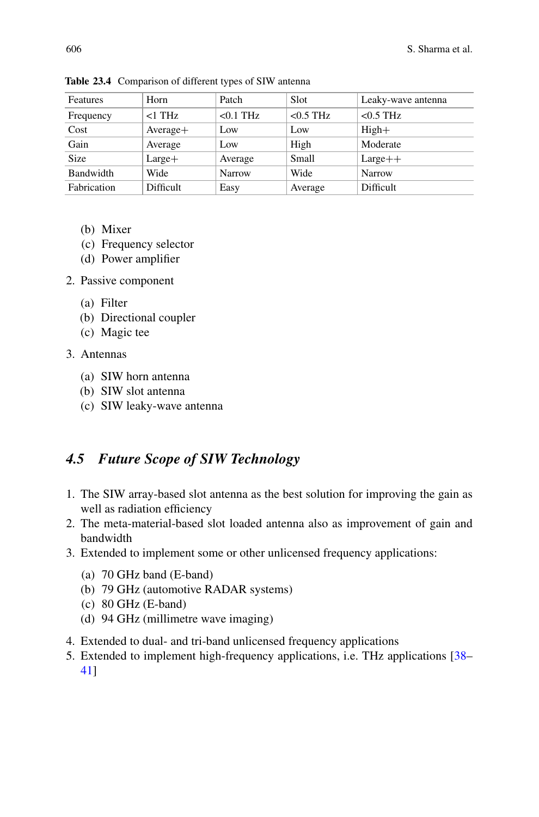| Features    | Horn             | Patch         | Slot        | Leaky-wave antenna |
|-------------|------------------|---------------|-------------|--------------------|
| Frequency   | $<$ 1 THz        | $< 0.1$ THz   | $< 0.5$ THz | $< 0.5$ THz        |
| Cost        | $Average+$       | Low           | Low         | $High+$            |
| Gain        | Average          | Low           | High        | Moderate           |
| <b>Size</b> | $Large+$         | Average       | Small       | $Large++$          |
| Bandwidth   | Wide             | <b>Narrow</b> | Wide        | Narrow             |
| Fabrication | <b>Difficult</b> | Easy          | Average     | Difficult          |

<span id="page-13-0"></span>**Table 23.4** Comparison of different types of SIW antenna

- (b) Mixer
- (c) Frequency selector
- (d) Power amplifier
- 2. Passive component
	- (a) Filter
	- (b) Directional coupler
	- (c) Magic tee
- 3. Antennas
	- (a) SIW horn antenna
	- (b) SIW slot antenna
	- (c) SIW leaky-wave antenna

# *4.5 Future Scope of SIW Technology*

- 1. The SIW array-based slot antenna as the best solution for improving the gain as well as radiation efficiency
- 2. The meta-material-based slot loaded antenna also as improvement of gain and bandwidth
- 3. Extended to implement some or other unlicensed frequency applications:
	- (a) 70 GHz band (E-band)
	- (b) 79 GHz (automotive RADAR systems)
	- (c) 80 GHz (E-band)
	- (d) 94 GHz (millimetre wave imaging)
- 4. Extended to dual- and tri-band unlicensed frequency applications
- 5. Extended to implement high-frequency applications, i.e. THz applications [\[38–](#page-25-2) [41\]](#page-25-5)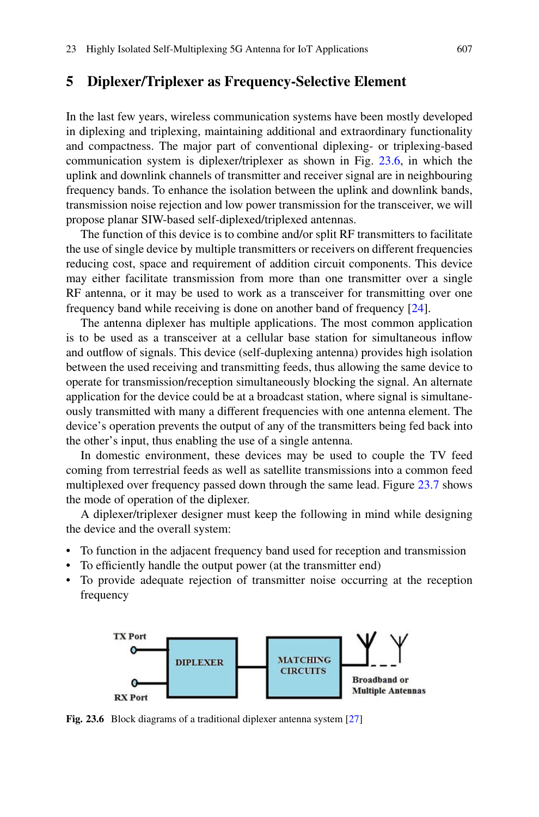#### **5 Diplexer/Triplexer as Frequency-Selective Element**

In the last few years, wireless communication systems have been mostly developed in diplexing and triplexing, maintaining additional and extraordinary functionality and compactness. The major part of conventional diplexing- or triplexing-based communication system is diplexer/triplexer as shown in Fig. [23.6,](#page-14-0) in which the uplink and downlink channels of transmitter and receiver signal are in neighbouring frequency bands. To enhance the isolation between the uplink and downlink bands, transmission noise rejection and low power transmission for the transceiver, we will propose planar SIW-based self-diplexed/triplexed antennas.

The function of this device is to combine and/or split RF transmitters to facilitate the use of single device by multiple transmitters or receivers on different frequencies reducing cost, space and requirement of addition circuit components. This device may either facilitate transmission from more than one transmitter over a single RF antenna, or it may be used to work as a transceiver for transmitting over one frequency band while receiving is done on another band of frequency [\[24\]](#page-24-9).

The antenna diplexer has multiple applications. The most common application is to be used as a transceiver at a cellular base station for simultaneous inflow and outflow of signals. This device (self-duplexing antenna) provides high isolation between the used receiving and transmitting feeds, thus allowing the same device to operate for transmission/reception simultaneously blocking the signal. An alternate application for the device could be at a broadcast station, where signal is simultaneously transmitted with many a different frequencies with one antenna element. The device's operation prevents the output of any of the transmitters being fed back into the other's input, thus enabling the use of a single antenna.

In domestic environment, these devices may be used to couple the TV feed coming from terrestrial feeds as well as satellite transmissions into a common feed multiplexed over frequency passed down through the same lead. Figure [23.7](#page-15-0) shows the mode of operation of the diplexer.

A diplexer/triplexer designer must keep the following in mind while designing the device and the overall system:

- To function in the adjacent frequency band used for reception and transmission
- To efficiently handle the output power (at the transmitter end)
- To provide adequate rejection of transmitter noise occurring at the reception frequency



<span id="page-14-0"></span>**Fig. 23.6** Block diagrams of a traditional diplexer antenna system [\[27\]](#page-24-11)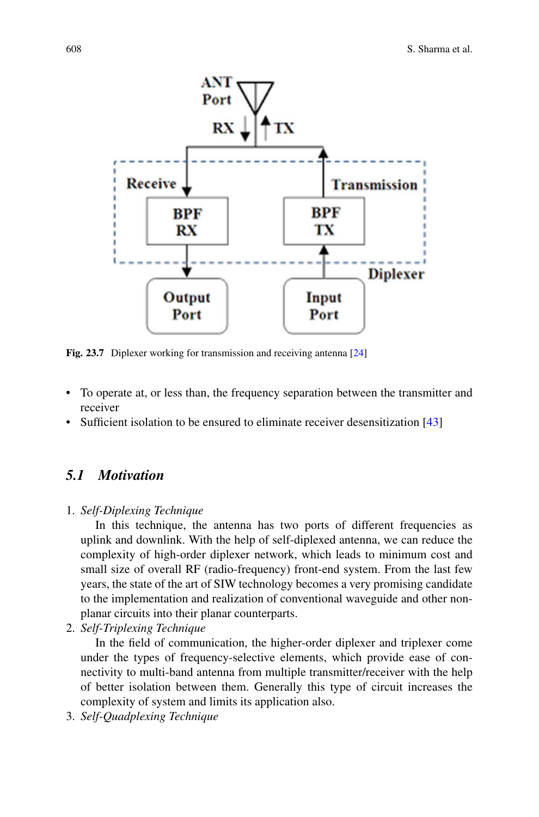

<span id="page-15-0"></span>**Fig. 23.7** Diplexer working for transmission and receiving antenna [\[24\]](#page-24-9)

- To operate at, or less than, the frequency separation between the transmitter and receiver
- Sufficient isolation to be ensured to eliminate receiver desensitization [\[43\]](#page-25-7)

### *5.1 Motivation*

1. *Self-Diplexing Technique*

In this technique, the antenna has two ports of different frequencies as uplink and downlink. With the help of self-diplexed antenna, we can reduce the complexity of high-order diplexer network, which leads to minimum cost and small size of overall RF (radio-frequency) front-end system. From the last few years, the state of the art of SIW technology becomes a very promising candidate to the implementation and realization of conventional waveguide and other nonplanar circuits into their planar counterparts.

2. *Self-Triplexing Technique*

In the field of communication, the higher-order diplexer and triplexer come under the types of frequency-selective elements, which provide ease of connectivity to multi-band antenna from multiple transmitter/receiver with the help of better isolation between them. Generally this type of circuit increases the complexity of system and limits its application also.

3. *Self-Quadplexing Technique*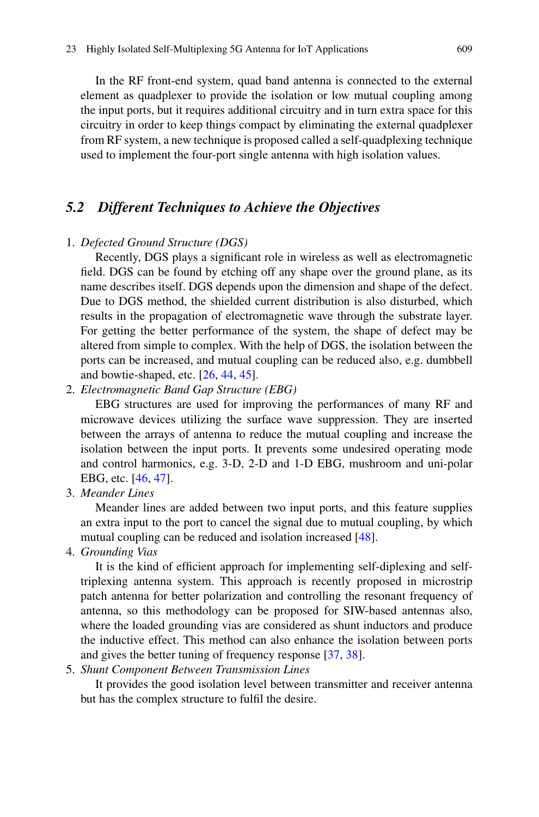In the RF front-end system, quad band antenna is connected to the external element as quadplexer to provide the isolation or low mutual coupling among the input ports, but it requires additional circuitry and in turn extra space for this circuitry in order to keep things compact by eliminating the external quadplexer from RF system, a new technique is proposed called a self-quadplexing technique used to implement the four-port single antenna with high isolation values.

#### *5.2 Different Techniques to Achieve the Objectives*

#### 1. *Defected Ground Structure (DGS)*

Recently, DGS plays a significant role in wireless as well as electromagnetic field. DGS can be found by etching off any shape over the ground plane, as its name describes itself. DGS depends upon the dimension and shape of the defect. Due to DGS method, the shielded current distribution is also disturbed, which results in the propagation of electromagnetic wave through the substrate layer. For getting the better performance of the system, the shape of defect may be altered from simple to complex. With the help of DGS, the isolation between the ports can be increased, and mutual coupling can be reduced also, e.g. dumbbell and bowtie-shaped, etc. [\[26,](#page-24-15) [44,](#page-25-8) [45\]](#page-25-9).

#### 2. *Electromagnetic Band Gap Structure (EBG)*

EBG structures are used for improving the performances of many RF and microwave devices utilizing the surface wave suppression. They are inserted between the arrays of antenna to reduce the mutual coupling and increase the isolation between the input ports. It prevents some undesired operating mode and control harmonics, e.g. 3-D, 2-D and 1-D EBG, mushroom and uni-polar EBG, etc. [\[46,](#page-25-10) [47\]](#page-25-11).

3. *Meander Lines*

Meander lines are added between two input ports, and this feature supplies an extra input to the port to cancel the signal due to mutual coupling, by which mutual coupling can be reduced and isolation increased [\[48\]](#page-25-12).

4. *Grounding Vias*

It is the kind of efficient approach for implementing self-diplexing and selftriplexing antenna system. This approach is recently proposed in microstrip patch antenna for better polarization and controlling the resonant frequency of antenna, so this methodology can be proposed for SIW-based antennas also, where the loaded grounding vias are considered as shunt inductors and produce the inductive effect. This method can also enhance the isolation between ports and gives the better tuning of frequency response [\[37,](#page-25-1) [38\]](#page-25-2).

#### 5. *Shunt Component Between Transmission Lines*

It provides the good isolation level between transmitter and receiver antenna but has the complex structure to fulfil the desire.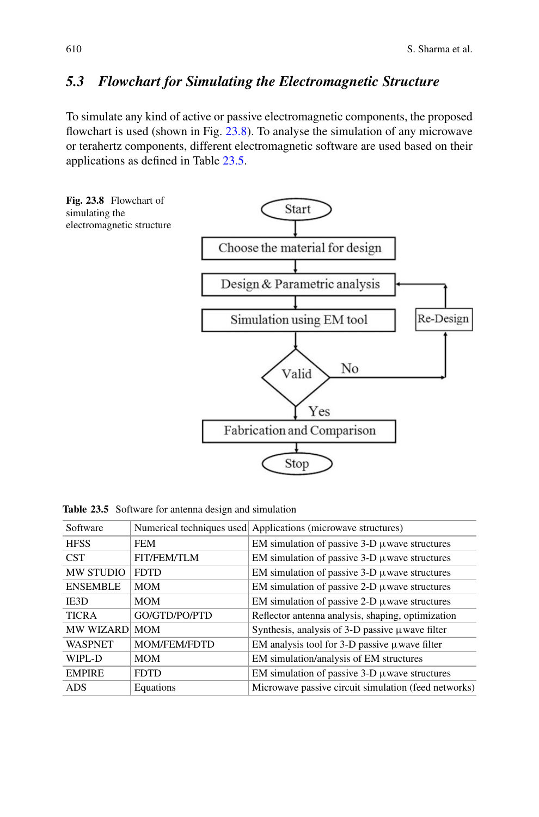# *5.3 Flowchart for Simulating the Electromagnetic Structure*

To simulate any kind of active or passive electromagnetic components, the proposed flowchart is used (shown in Fig. [23.8\)](#page-17-0). To analyse the simulation of any microwave or terahertz components, different electromagnetic software are used based on their applications as defined in Table [23.5.](#page-17-1)

<span id="page-17-0"></span>

<span id="page-17-1"></span>

| <b>Table 23.5</b> Software for antenna design and simulation |  |  |  |  |  |
|--------------------------------------------------------------|--|--|--|--|--|
|--------------------------------------------------------------|--|--|--|--|--|

| Software         | Numerical techniques used | Applications (microwave structures)                    |
|------------------|---------------------------|--------------------------------------------------------|
| <b>HFSS</b>      | <b>FEM</b>                | EM simulation of passive $3-D$ $\mu$ wave structures   |
| <b>CST</b>       | <b>FIT/FEM/TLM</b>        | EM simulation of passive $3-D$ $\mu$ wave structures   |
| <b>MW STUDIO</b> | <b>FDTD</b>               | EM simulation of passive $3-D$ $\mu$ wave structures   |
| <b>ENSEMBLE</b>  | <b>MOM</b>                | EM simulation of passive 2-D $\mu$ wave structures     |
| IE3D             | <b>MOM</b>                | EM simulation of passive $2-D \mu$ wave structures     |
| <b>TICRA</b>     | GO/GTD/PO/PTD             | Reflector antenna analysis, shaping, optimization      |
| <b>MW WIZARD</b> | <b>MOM</b>                | Synthesis, analysis of $3-D$ passive $\mu$ wave filter |
| <b>WASPNET</b>   | MOM/FEM/FDTD              | EM analysis tool for $3-D$ passive $\mu$ wave filter   |
| WIPL-D           | <b>MOM</b>                | EM simulation/analysis of EM structures                |
| <b>EMPIRE</b>    | <b>FDTD</b>               | EM simulation of passive $3-D \mu$ wave structures     |
| <b>ADS</b>       | Equations                 | Microwave passive circuit simulation (feed networks)   |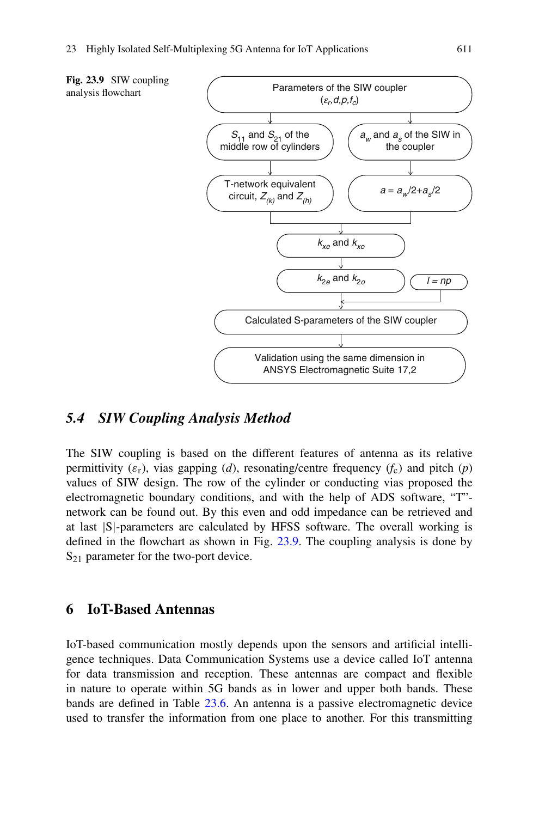<span id="page-18-0"></span>

### *5.4 SIW Coupling Analysis Method*

The SIW coupling is based on the different features of antenna as its relative permittivity  $(\varepsilon_r)$ , vias gapping (*d*), resonating/centre frequency  $(f_c)$  and pitch (*p*) values of SIW design. The row of the cylinder or conducting vias proposed the electromagnetic boundary conditions, and with the help of ADS software, "T" network can be found out. By this even and odd impedance can be retrieved and at last |S|-parameters are calculated by HFSS software. The overall working is defined in the flowchart as shown in Fig. [23.9.](#page-18-0) The coupling analysis is done by S<sub>21</sub> parameter for the two-port device.

#### **6 IoT-Based Antennas**

IoT-based communication mostly depends upon the sensors and artificial intelligence techniques. Data Communication Systems use a device called IoT antenna for data transmission and reception. These antennas are compact and flexible in nature to operate within 5G bands as in lower and upper both bands. These bands are defined in Table [23.6.](#page-19-0) An antenna is a passive electromagnetic device used to transfer the information from one place to another. For this transmitting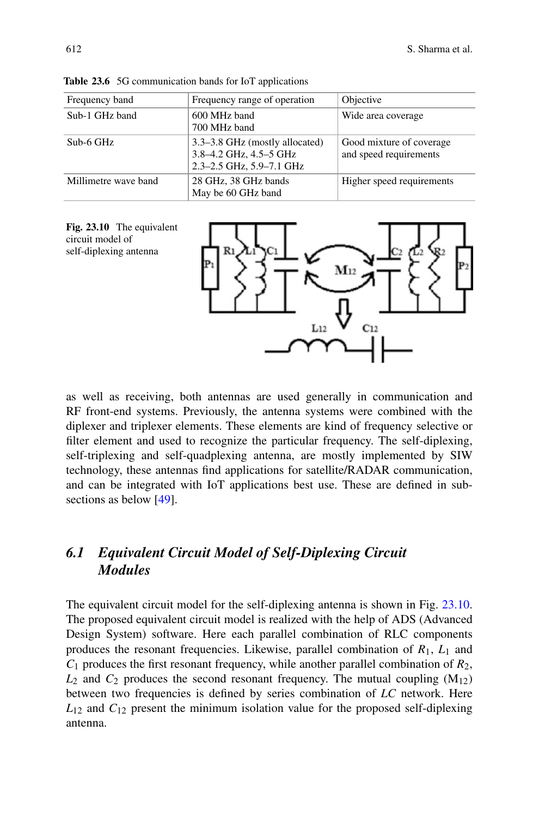| Frequency band       | Frequency range of operation                                                         | Objective                                          |  |
|----------------------|--------------------------------------------------------------------------------------|----------------------------------------------------|--|
| Sub-1 GHz band       | 600 MHz band<br>700 MHz band                                                         | Wide area coverage                                 |  |
| Sub-6 GHz            | 3.3–3.8 GHz (mostly allocated)<br>3.8-4.2 GHz, 4.5-5 GHz<br>2.3-2.5 GHz, 5.9-7.1 GHz | Good mixture of coverage<br>and speed requirements |  |
| Millimetre wave band | 28 GHz, 38 GHz bands<br>May be 60 GHz band                                           | Higher speed requirements                          |  |

<span id="page-19-0"></span>**Table 23.6** 5G communication bands for IoT applications

<span id="page-19-1"></span>



as well as receiving, both antennas are used generally in communication and RF front-end systems. Previously, the antenna systems were combined with the diplexer and triplexer elements. These elements are kind of frequency selective or filter element and used to recognize the particular frequency. The self-diplexing, self-triplexing and self-quadplexing antenna, are mostly implemented by SIW technology, these antennas find applications for satellite/RADAR communication, and can be integrated with IoT applications best use. These are defined in subsections as below [\[49\]](#page-25-13).

# *6.1 Equivalent Circuit Model of Self-Diplexing Circuit Modules*

The equivalent circuit model for the self-diplexing antenna is shown in Fig. [23.10.](#page-19-1) The proposed equivalent circuit model is realized with the help of ADS (Advanced Design System) software. Here each parallel combination of RLC components produces the resonant frequencies. Likewise, parallel combination of *R*1, *L*<sup>1</sup> and  $C_1$  produces the first resonant frequency, while another parallel combination of  $R_2$ ,  $L_2$  and  $C_2$  produces the second resonant frequency. The mutual coupling  $(M_{12})$ between two frequencies is defined by series combination of *LC* network. Here *L*<sup>12</sup> and *C*<sup>12</sup> present the minimum isolation value for the proposed self-diplexing antenna.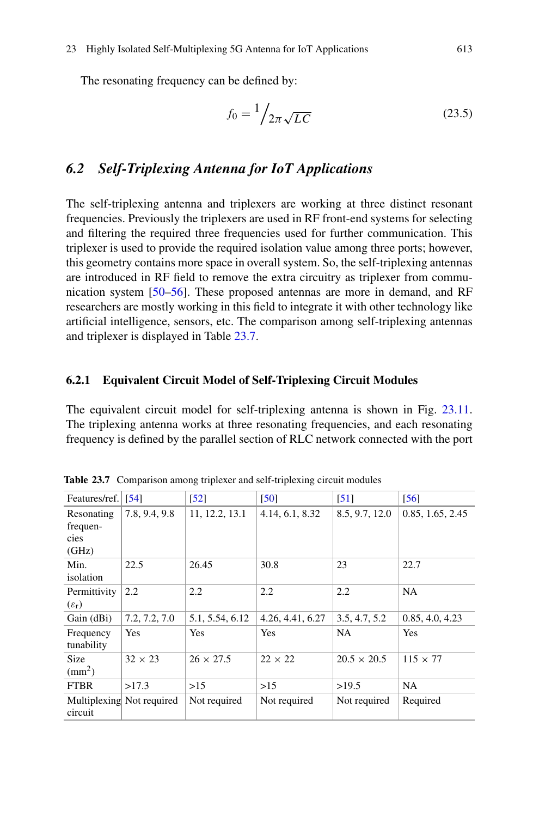The resonating frequency can be defined by:

<span id="page-20-1"></span>
$$
f_0 = \frac{1}{2\pi\sqrt{LC}}\tag{23.5}
$$

### *6.2 Self-Triplexing Antenna for IoT Applications*

The self-triplexing antenna and triplexers are working at three distinct resonant frequencies. Previously the triplexers are used in RF front-end systems for selecting and filtering the required three frequencies used for further communication. This triplexer is used to provide the required isolation value among three ports; however, this geometry contains more space in overall system. So, the self-triplexing antennas are introduced in RF field to remove the extra circuitry as triplexer from communication system [\[50](#page-25-14)[–56\]](#page-25-15). These proposed antennas are more in demand, and RF researchers are mostly working in this field to integrate it with other technology like artificial intelligence, sensors, etc. The comparison among self-triplexing antennas and triplexer is displayed in Table [23.7.](#page-20-0)

#### **6.2.1 Equivalent Circuit Model of Self-Triplexing Circuit Modules**

The equivalent circuit model for self-triplexing antenna is shown in Fig. [23.11.](#page-21-0) The triplexing antenna works at three resonating frequencies, and each resonating frequency is defined by the parallel section of RLC network connected with the port

| Features/ref.                           | $\sqrt{54}$               | $\left[52\right]$ | [50]             | [51]               | [56]             |
|-----------------------------------------|---------------------------|-------------------|------------------|--------------------|------------------|
| Resonating<br>frequen-<br>cies<br>(GHz) | 7.8, 9.4, 9.8             | 11, 12.2, 13.1    | 4.14, 6.1, 8.32  | 8.5, 9.7, 12.0     | 0.85, 1.65, 2.45 |
| Min.<br>isolation                       | 22.5                      | 26.45             | 30.8             | 23                 | 22.7             |
| Permittivity<br>$(\varepsilon_{r})$     | 2.2                       | 2.2               | 2.2              | 2.2                | <b>NA</b>        |
| Gain (dBi)                              | 7.2, 7.2, 7.0             | 5.1, 5.54, 6.12   | 4.26, 4.41, 6.27 | 3.5, 4.7, 5.2      | 0.85, 4.0, 4.23  |
| Frequency<br>tunability                 | <b>Yes</b>                | <b>Yes</b>        | <b>Yes</b>       | <b>NA</b>          | Yes              |
| <b>Size</b><br>$\rm (mm^2)$             | $32 \times 23$            | $26 \times 27.5$  | $22 \times 22$   | $20.5 \times 20.5$ | $115 \times 77$  |
| <b>FTBR</b>                             | >17.3                     | >15               | >15              | >19.5              | <b>NA</b>        |
| circuit                                 | Multiplexing Not required | Not required      | Not required     | Not required       | Required         |

<span id="page-20-0"></span>Table 23.7 Comparison among triplexer and self-triplexing circuit modules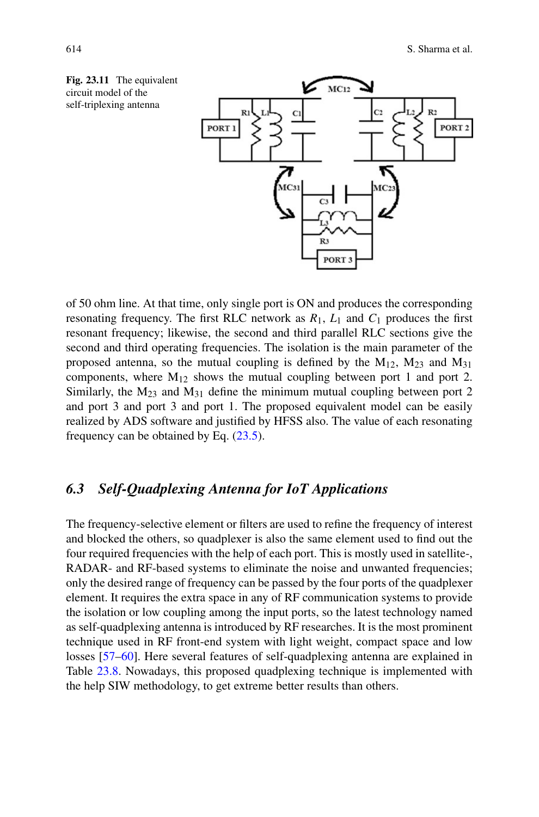<span id="page-21-0"></span>

of 50 ohm line. At that time, only single port is ON and produces the corresponding resonating frequency. The first RLC network as  $R_1$ ,  $L_1$  and  $C_1$  produces the first resonant frequency; likewise, the second and third parallel RLC sections give the second and third operating frequencies. The isolation is the main parameter of the proposed antenna, so the mutual coupling is defined by the  $M_{12}$ ,  $M_{23}$  and  $M_{31}$ components, where  $M_{12}$  shows the mutual coupling between port 1 and port 2. Similarly, the  $M_{23}$  and  $M_{31}$  define the minimum mutual coupling between port 2 and port 3 and port 3 and port 1. The proposed equivalent model can be easily realized by ADS software and justified by HFSS also. The value of each resonating frequency can be obtained by Eq. [\(23.5\)](#page-20-1).

# *6.3 Self-Quadplexing Antenna for IoT Applications*

The frequency-selective element or filters are used to refine the frequency of interest and blocked the others, so quadplexer is also the same element used to find out the four required frequencies with the help of each port. This is mostly used in satellite-, RADAR- and RF-based systems to eliminate the noise and unwanted frequencies; only the desired range of frequency can be passed by the four ports of the quadplexer element. It requires the extra space in any of RF communication systems to provide the isolation or low coupling among the input ports, so the latest technology named as self-quadplexing antenna is introduced by RF researches. It is the most prominent technique used in RF front-end system with light weight, compact space and low losses [\[57–](#page-26-0)[60\]](#page-26-1). Here several features of self-quadplexing antenna are explained in Table [23.8.](#page-22-0) Nowadays, this proposed quadplexing technique is implemented with the help SIW methodology, to get extreme better results than others.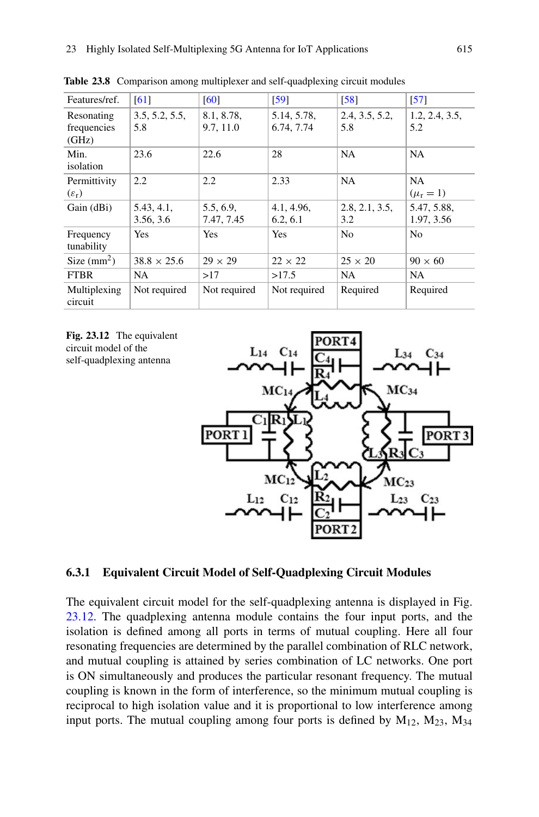| Features/ref.                      | [61]                    | <b>601</b>              | [59]                      | $\sqrt{58}$           | $\sqrt{57}$               |
|------------------------------------|-------------------------|-------------------------|---------------------------|-----------------------|---------------------------|
| Resonating<br>frequencies<br>(GHz) | 3.5, 5.2, 5.5,<br>5.8   | 8.1, 8.78,<br>9.7, 11.0 | 5.14, 5.78,<br>6.74, 7.74 | 2.4, 3.5, 5.2,<br>5.8 | 1.2, 2.4, 3.5,<br>5.2     |
| Min.<br>isolation                  | 23.6                    | 22.6                    | 28                        | <b>NA</b>             | <b>NA</b>                 |
| Permittivity<br>$(\varepsilon_r)$  | 2.2                     | 2.2                     | 2.33                      | <b>NA</b>             | NA<br>$(\mu_{\rm r} = 1)$ |
| Gain (dBi)                         | 5.43, 4.1,<br>3.56, 3.6 | 5.5, 6.9,<br>7.47, 7.45 | 4.1, 4.96,<br>6.2, 6.1    | 2.8, 2.1, 3.5,<br>3.2 | 5.47, 5.88,<br>1.97, 3.56 |
| Frequency<br>tunability            | <b>Yes</b>              | Yes                     | <b>Yes</b>                | N <sub>0</sub>        | N <sub>0</sub>            |
| Size $(mm2)$                       | $38.8 \times 25.6$      | $29 \times 29$          | $22 \times 22$            | $25 \times 20$        | $90 \times 60$            |
| <b>FTBR</b>                        | NA.                     | >17                     | >17.5                     | NA.                   | NA                        |
| Multiplexing<br>circuit            | Not required            | Not required            | Not required              | Required              | Required                  |

<span id="page-22-0"></span>**Table 23.8** Comparison among multiplexer and self-quadplexing circuit modules

<span id="page-22-1"></span>**Fig. 23.12** The equivalent circuit model of the self-quadplexing antenna



#### **6.3.1 Equivalent Circuit Model of Self-Quadplexing Circuit Modules**

The equivalent circuit model for the self-quadplexing antenna is displayed in Fig. [23.12.](#page-22-1) The quadplexing antenna module contains the four input ports, and the isolation is defined among all ports in terms of mutual coupling. Here all four resonating frequencies are determined by the parallel combination of RLC network, and mutual coupling is attained by series combination of LC networks. One port is ON simultaneously and produces the particular resonant frequency. The mutual coupling is known in the form of interference, so the minimum mutual coupling is reciprocal to high isolation value and it is proportional to low interference among input ports. The mutual coupling among four ports is defined by  $M_{12}$ ,  $M_{23}$ ,  $M_{34}$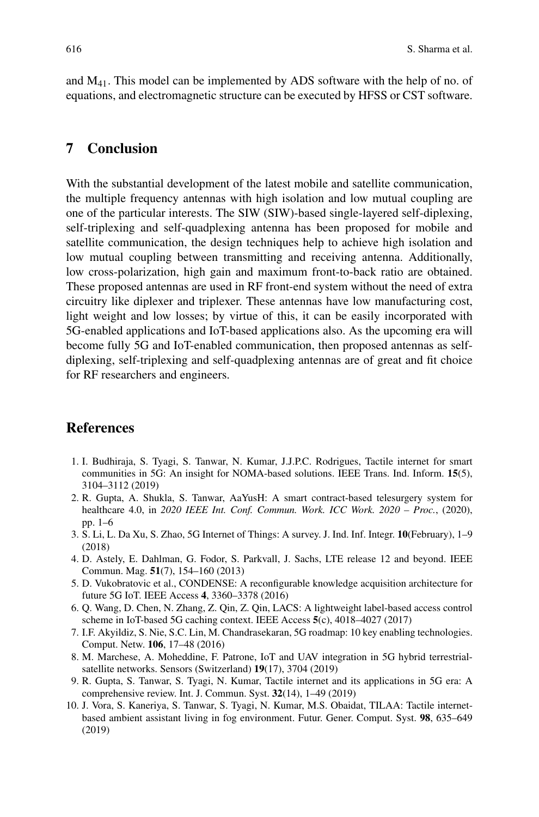and  $M_{41}$ . This model can be implemented by ADS software with the help of no. of equations, and electromagnetic structure can be executed by HFSS or CST software.

#### **7 Conclusion**

With the substantial development of the latest mobile and satellite communication, the multiple frequency antennas with high isolation and low mutual coupling are one of the particular interests. The SIW (SIW)-based single-layered self-diplexing, self-triplexing and self-quadplexing antenna has been proposed for mobile and satellite communication, the design techniques help to achieve high isolation and low mutual coupling between transmitting and receiving antenna. Additionally, low cross-polarization, high gain and maximum front-to-back ratio are obtained. These proposed antennas are used in RF front-end system without the need of extra circuitry like diplexer and triplexer. These antennas have low manufacturing cost, light weight and low losses; by virtue of this, it can be easily incorporated with 5G-enabled applications and IoT-based applications also. As the upcoming era will become fully 5G and IoT-enabled communication, then proposed antennas as selfdiplexing, self-triplexing and self-quadplexing antennas are of great and fit choice for RF researchers and engineers.

### **References**

- <span id="page-23-0"></span>1. I. Budhiraja, S. Tyagi, S. Tanwar, N. Kumar, J.J.P.C. Rodrigues, Tactile internet for smart communities in 5G: An insight for NOMA-based solutions. IEEE Trans. Ind. Inform. **15**(5), 3104–3112 (2019)
- <span id="page-23-1"></span>2. R. Gupta, A. Shukla, S. Tanwar, AaYusH: A smart contract-based telesurgery system for healthcare 4.0, in *2020 IEEE Int. Conf. Commun. Work. ICC Work. 2020 – Proc.*, (2020), pp. 1–6
- <span id="page-23-2"></span>3. S. Li, L. Da Xu, S. Zhao, 5G Internet of Things: A survey. J. Ind. Inf. Integr. **10**(February), 1–9 (2018)
- <span id="page-23-3"></span>4. D. Astely, E. Dahlman, G. Fodor, S. Parkvall, J. Sachs, LTE release 12 and beyond. IEEE Commun. Mag. **51**(7), 154–160 (2013)
- <span id="page-23-4"></span>5. D. Vukobratovic et al., CONDENSE: A reconfigurable knowledge acquisition architecture for future 5G IoT. IEEE Access **4**, 3360–3378 (2016)
- <span id="page-23-5"></span>6. Q. Wang, D. Chen, N. Zhang, Z. Qin, Z. Qin, LACS: A lightweight label-based access control scheme in IoT-based 5G caching context. IEEE Access **5**(c), 4018–4027 (2017)
- <span id="page-23-6"></span>7. I.F. Akyildiz, S. Nie, S.C. Lin, M. Chandrasekaran, 5G roadmap: 10 key enabling technologies. Comput. Netw. **106**, 17–48 (2016)
- <span id="page-23-7"></span>8. M. Marchese, A. Moheddine, F. Patrone, IoT and UAV integration in 5G hybrid terrestrialsatellite networks. Sensors (Switzerland) **19**(17), 3704 (2019)
- <span id="page-23-8"></span>9. R. Gupta, S. Tanwar, S. Tyagi, N. Kumar, Tactile internet and its applications in 5G era: A comprehensive review. Int. J. Commun. Syst. **32**(14), 1–49 (2019)
- <span id="page-23-9"></span>10. J. Vora, S. Kaneriya, S. Tanwar, S. Tyagi, N. Kumar, M.S. Obaidat, TILAA: Tactile internetbased ambient assistant living in fog environment. Futur. Gener. Comput. Syst. **98**, 635–649 (2019)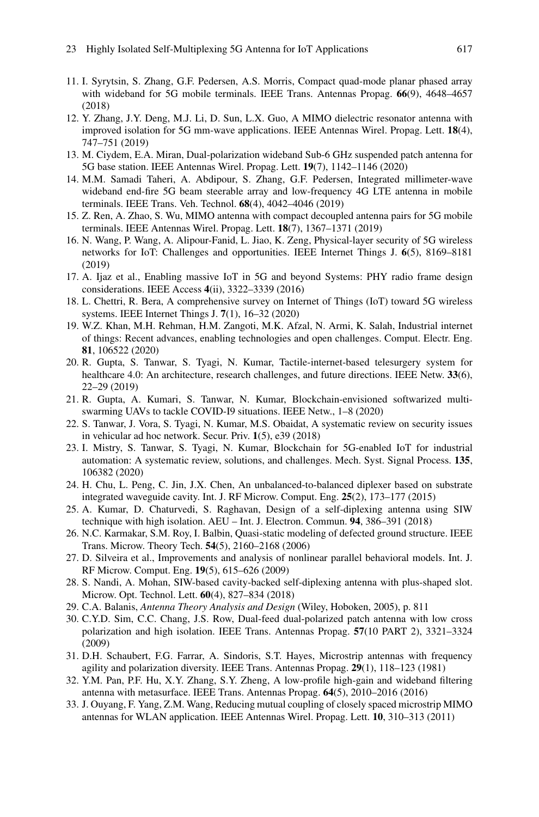- <span id="page-24-0"></span>11. I. Syrytsin, S. Zhang, G.F. Pedersen, A.S. Morris, Compact quad-mode planar phased array with wideband for 5G mobile terminals. IEEE Trans. Antennas Propag. **66**(9), 4648–4657 (2018)
- <span id="page-24-1"></span>12. Y. Zhang, J.Y. Deng, M.J. Li, D. Sun, L.X. Guo, A MIMO dielectric resonator antenna with improved isolation for 5G mm-wave applications. IEEE Antennas Wirel. Propag. Lett. **18**(4), 747–751 (2019)
- <span id="page-24-2"></span>13. M. Ciydem, E.A. Miran, Dual-polarization wideband Sub-6 GHz suspended patch antenna for 5G base station. IEEE Antennas Wirel. Propag. Lett. **19**(7), 1142–1146 (2020)
- <span id="page-24-3"></span>14. M.M. Samadi Taheri, A. Abdipour, S. Zhang, G.F. Pedersen, Integrated millimeter-wave wideband end-fire 5G beam steerable array and low-frequency 4G LTE antenna in mobile terminals. IEEE Trans. Veh. Technol. **68**(4), 4042–4046 (2019)
- <span id="page-24-4"></span>15. Z. Ren, A. Zhao, S. Wu, MIMO antenna with compact decoupled antenna pairs for 5G mobile terminals. IEEE Antennas Wirel. Propag. Lett. **18**(7), 1367–1371 (2019)
- <span id="page-24-5"></span>16. N. Wang, P. Wang, A. Alipour-Fanid, L. Jiao, K. Zeng, Physical-layer security of 5G wireless networks for IoT: Challenges and opportunities. IEEE Internet Things J. **6**(5), 8169–8181 (2019)
- 17. A. Ijaz et al., Enabling massive IoT in 5G and beyond Systems: PHY radio frame design considerations. IEEE Access **4**(ii), 3322–3339 (2016)
- <span id="page-24-6"></span>18. L. Chettri, R. Bera, A comprehensive survey on Internet of Things (IoT) toward 5G wireless systems. IEEE Internet Things J. **7**(1), 16–32 (2020)
- <span id="page-24-7"></span>19. W.Z. Khan, M.H. Rehman, H.M. Zangoti, M.K. Afzal, N. Armi, K. Salah, Industrial internet of things: Recent advances, enabling technologies and open challenges. Comput. Electr. Eng. **81**, 106522 (2020)
- 20. R. Gupta, S. Tanwar, S. Tyagi, N. Kumar, Tactile-internet-based telesurgery system for healthcare 4.0: An architecture, research challenges, and future directions. IEEE Netw. **33**(6), 22–29 (2019)
- 21. R. Gupta, A. Kumari, S. Tanwar, N. Kumar, Blockchain-envisioned softwarized multiswarming UAVs to tackle COVID-I9 situations. IEEE Netw., 1–8 (2020)
- 22. S. Tanwar, J. Vora, S. Tyagi, N. Kumar, M.S. Obaidat, A systematic review on security issues in vehicular ad hoc network. Secur. Priv. **1**(5), e39 (2018)
- <span id="page-24-8"></span>23. I. Mistry, S. Tanwar, S. Tyagi, N. Kumar, Blockchain for 5G-enabled IoT for industrial automation: A systematic review, solutions, and challenges. Mech. Syst. Signal Process. **135**, 106382 (2020)
- <span id="page-24-9"></span>24. H. Chu, L. Peng, C. Jin, J.X. Chen, An unbalanced-to-balanced diplexer based on substrate integrated waveguide cavity. Int. J. RF Microw. Comput. Eng. **25**(2), 173–177 (2015)
- <span id="page-24-10"></span>25. A. Kumar, D. Chaturvedi, S. Raghavan, Design of a self-diplexing antenna using SIW technique with high isolation. AEU – Int. J. Electron. Commun. **94**, 386–391 (2018)
- <span id="page-24-15"></span>26. N.C. Karmakar, S.M. Roy, I. Balbin, Quasi-static modeling of defected ground structure. IEEE Trans. Microw. Theory Tech. **54**(5), 2160–2168 (2006)
- <span id="page-24-11"></span>27. D. Silveira et al., Improvements and analysis of nonlinear parallel behavioral models. Int. J. RF Microw. Comput. Eng. **19**(5), 615–626 (2009)
- <span id="page-24-12"></span>28. S. Nandi, A. Mohan, SIW-based cavity-backed self-diplexing antenna with plus-shaped slot. Microw. Opt. Technol. Lett. **60**(4), 827–834 (2018)
- <span id="page-24-13"></span>29. C.A. Balanis, *Antenna Theory Analysis and Design* (Wiley, Hoboken, 2005), p. 811
- <span id="page-24-14"></span>30. C.Y.D. Sim, C.C. Chang, J.S. Row, Dual-feed dual-polarized patch antenna with low cross polarization and high isolation. IEEE Trans. Antennas Propag. **57**(10 PART 2), 3321–3324 (2009)
- 31. D.H. Schaubert, F.G. Farrar, A. Sindoris, S.T. Hayes, Microstrip antennas with frequency agility and polarization diversity. IEEE Trans. Antennas Propag. **29**(1), 118–123 (1981)
- 32. Y.M. Pan, P.F. Hu, X.Y. Zhang, S.Y. Zheng, A low-profile high-gain and wideband filtering antenna with metasurface. IEEE Trans. Antennas Propag. **64**(5), 2010–2016 (2016)
- 33. J. Ouyang, F. Yang, Z.M. Wang, Reducing mutual coupling of closely spaced microstrip MIMO antennas for WLAN application. IEEE Antennas Wirel. Propag. Lett. **10**, 310–313 (2011)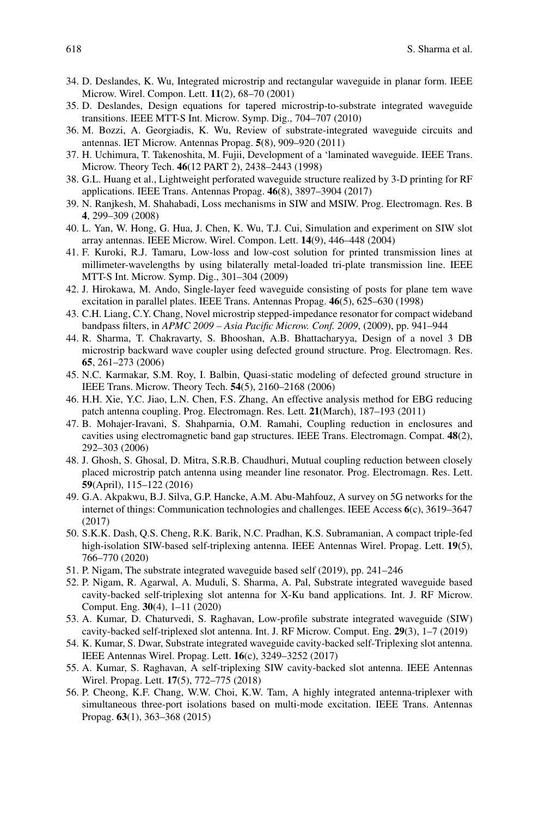- 34. D. Deslandes, K. Wu, Integrated microstrip and rectangular waveguide in planar form. IEEE Microw. Wirel. Compon. Lett. **11**(2), 68–70 (2001)
- 35. D. Deslandes, Design equations for tapered microstrip-to-substrate integrated waveguide transitions. IEEE MTT-S Int. Microw. Symp. Dig., 704–707 (2010)
- <span id="page-25-0"></span>36. M. Bozzi, A. Georgiadis, K. Wu, Review of substrate-integrated waveguide circuits and antennas. IET Microw. Antennas Propag. **5**(8), 909–920 (2011)
- <span id="page-25-1"></span>37. H. Uchimura, T. Takenoshita, M. Fujii, Development of a 'laminated waveguide. IEEE Trans. Microw. Theory Tech. **46**(12 PART 2), 2438–2443 (1998)
- <span id="page-25-2"></span>38. G.L. Huang et al., Lightweight perforated waveguide structure realized by 3-D printing for RF applications. IEEE Trans. Antennas Propag. **46**(8), 3897–3904 (2017)
- <span id="page-25-3"></span>39. N. Ranjkesh, M. Shahabadi, Loss mechanisms in SIW and MSIW. Prog. Electromagn. Res. B **4**, 299–309 (2008)
- <span id="page-25-4"></span>40. L. Yan, W. Hong, G. Hua, J. Chen, K. Wu, T.J. Cui, Simulation and experiment on SIW slot array antennas. IEEE Microw. Wirel. Compon. Lett. **14**(9), 446–448 (2004)
- <span id="page-25-5"></span>41. F. Kuroki, R.J. Tamaru, Low-loss and low-cost solution for printed transmission lines at millimeter-wavelengths by using bilaterally metal-loaded tri-plate transmission line. IEEE MTT-S Int. Microw. Symp. Dig., 301–304 (2009)
- <span id="page-25-6"></span>42. J. Hirokawa, M. Ando, Single-layer feed waveguide consisting of posts for plane tem wave excitation in parallel plates. IEEE Trans. Antennas Propag. **46**(5), 625–630 (1998)
- <span id="page-25-7"></span>43. C.H. Liang, C.Y. Chang, Novel microstrip stepped-impedance resonator for compact wideband bandpass filters, in *APMC 2009 – Asia Pacific Microw. Conf. 2009*, (2009), pp. 941–944
- <span id="page-25-8"></span>44. R. Sharma, T. Chakravarty, S. Bhooshan, A.B. Bhattacharyya, Design of a novel 3 DB microstrip backward wave coupler using defected ground structure. Prog. Electromagn. Res. **65**, 261–273 (2006)
- <span id="page-25-9"></span>45. N.C. Karmakar, S.M. Roy, I. Balbin, Quasi-static modeling of defected ground structure in IEEE Trans. Microw. Theory Tech. **54**(5), 2160–2168 (2006)
- <span id="page-25-10"></span>46. H.H. Xie, Y.C. Jiao, L.N. Chen, F.S. Zhang, An effective analysis method for EBG reducing patch antenna coupling. Prog. Electromagn. Res. Lett. **21**(March), 187–193 (2011)
- <span id="page-25-11"></span>47. B. Mohajer-Iravani, S. Shahparnia, O.M. Ramahi, Coupling reduction in enclosures and cavities using electromagnetic band gap structures. IEEE Trans. Electromagn. Compat. **48**(2), 292–303 (2006)
- <span id="page-25-12"></span>48. J. Ghosh, S. Ghosal, D. Mitra, S.R.B. Chaudhuri, Mutual coupling reduction between closely placed microstrip patch antenna using meander line resonator. Prog. Electromagn. Res. Lett. **59**(April), 115–122 (2016)
- <span id="page-25-13"></span>49. G.A. Akpakwu, B.J. Silva, G.P. Hancke, A.M. Abu-Mahfouz, A survey on 5G networks for the internet of things: Communication technologies and challenges. IEEE Access **6**(c), 3619–3647 (2017)
- <span id="page-25-14"></span>50. S.K.K. Dash, Q.S. Cheng, R.K. Barik, N.C. Pradhan, K.S. Subramanian, A compact triple-fed high-isolation SIW-based self-triplexing antenna. IEEE Antennas Wirel. Propag. Lett. **19**(5), 766–770 (2020)
- <span id="page-25-18"></span>51. P. Nigam, The substrate integrated waveguide based self (2019), pp. 241–246
- <span id="page-25-17"></span>52. P. Nigam, R. Agarwal, A. Muduli, S. Sharma, A. Pal, Substrate integrated waveguide based cavity-backed self-triplexing slot antenna for X-Ku band applications. Int. J. RF Microw. Comput. Eng. **30**(4), 1–11 (2020)
- 53. A. Kumar, D. Chaturvedi, S. Raghavan, Low-profile substrate integrated waveguide (SIW) cavity-backed self-triplexed slot antenna. Int. J. RF Microw. Comput. Eng. **29**(3), 1–7 (2019)
- <span id="page-25-16"></span>54. K. Kumar, S. Dwar, Substrate integrated waveguide cavity-backed self-Triplexing slot antenna. IEEE Antennas Wirel. Propag. Lett. **16**(c), 3249–3252 (2017)
- 55. A. Kumar, S. Raghavan, A self-triplexing SIW cavity-backed slot antenna. IEEE Antennas Wirel. Propag. Lett. **17**(5), 772–775 (2018)
- <span id="page-25-15"></span>56. P. Cheong, K.F. Chang, W.W. Choi, K.W. Tam, A highly integrated antenna-triplexer with simultaneous three-port isolations based on multi-mode excitation. IEEE Trans. Antennas Propag. **63**(1), 363–368 (2015)